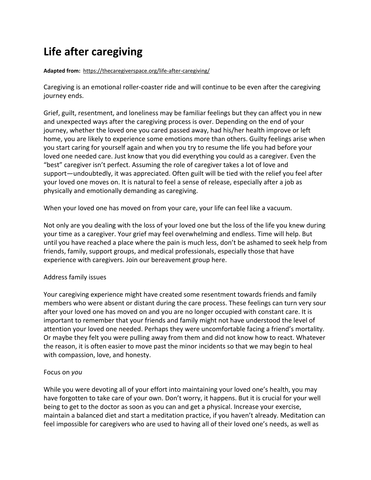# **Life after caregiving**

#### **Adapted from:** <https://thecaregiverspace.org/life-after-caregiving/>

Caregiving is an emotional roller-coaster ride and will continue to be even after the caregiving journey ends.

Grief, guilt, resentment, and loneliness may be familiar feelings but they can affect you in new and unexpected ways after the caregiving process is over. Depending on the end of your journey, whether the loved one you cared passed away, had his/her health improve or left home, you are likely to experience some emotions more than others. Guilty feelings arise when you start caring for yourself again and when you try to resume the life you had before your loved one needed care. Just know that you did everything you could as a caregiver. Even the "best" caregiver isn't perfect. Assuming the role of caregiver takes a lot of love and support—undoubtedly, it was appreciated. Often guilt will be tied with the relief you feel after your loved one moves on. It is natural to feel a sense of release, especially after a job as physically and emotionally demanding as caregiving.

When your loved one has moved on from your care, your life can feel like a vacuum.

Not only are you dealing with the loss of your loved one but the loss of the life you knew during your time as a caregiver. Your grief may feel overwhelming and endless. Time will help. But until you have reached a place where the pain is much less, don't be ashamed to seek help from friends, family, support groups, and medical professionals, especially those that have experience with caregivers. [Join our bereavement group here.](https://thecaregiverspace.orgbereavement-support-group-forming-now/)

### Address family issues

Your caregiving experience might have created some resentment towards friends and family members who were absent or distant during the care process. These feelings can turn very sour after your loved one has moved on and you are no longer occupied with constant care. It is important to remember that your friends and family might not have understood the level of attention your loved one needed. Perhaps they were uncomfortable facing a friend's mortality. Or maybe they felt you were pulling away from them and did not know how to react. Whatever the reason, it is often easier to move past the minor incidents so that we may begin to heal with compassion, love, and honesty.

### Focus on *you*

While you were devoting all of your effort into maintaining your loved one's health, you may have forgotten to take care of your own. Don't worry, it happens. But it is crucial for your well being to get to the doctor as soon as you can and get a physical. [Increase your exercise,](https://thecaregiverspace.orgcaregivers-toolbox/health/) [maintain a balanced diet](https://thecaregiverspace.orgcaregivers-toolbox/health/) and start a meditation practice, if you haven't already. Meditation can feel impossible for caregivers who are used to having all of their loved one's needs, as well as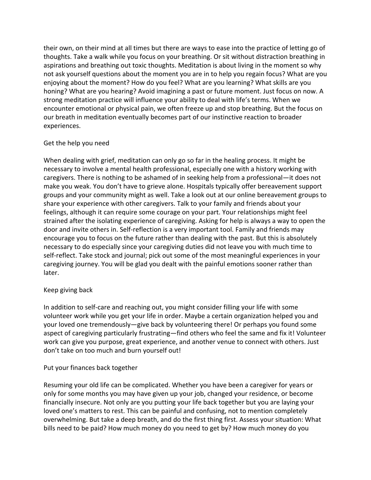their own, on their mind at all times but there are ways to ease into the practice of letting go of thoughts. Take a walk while you focus on your breathing. Or sit without distraction breathing in aspirations and breathing out toxic thoughts. Meditation is about living in the moment so why not ask yourself questions about the moment you are in to help you regain focus? What are you enjoying about the moment? How do you feel? What are you learning? What skills are you honing? What are you hearing? Avoid imagining a past or future moment. Just focus on now. A strong meditation practice will influence your ability to deal with life's terms. When we encounter emotional or physical pain, we often freeze up and stop breathing. But the focus on our breath in meditation eventually becomes part of our instinctive reaction to broader experiences.

## Get the help you need

When dealing with grief, meditation can only go so far in the healing process. It might be necessary to involve a mental health professional, especially one with a history working with caregivers. There is nothing to be ashamed of in seeking help from a professional—it does not make you weak. You don't have to grieve alone. Hospitals typically offer bereavement support groups and your community might as well. Take a look out at our online bereavement groups to share your experience with other caregivers. Talk to your family and friends about your feelings, although it can require some courage on your part. Your relationships might feel strained after the isolating experience of caregiving. Asking for help is always a way to open the door and invite others in. Self-reflection is a very important tool. Family and friends may encourage you to focus on the future rather than dealing with the past. But this is absolutely necessary to do especially since your caregiving duties did not leave you with much time to self-reflect. Take stock and journal; pick out some of the most meaningful experiences in your caregiving journey. You will be glad you dealt with the painful emotions sooner rather than later.

### Keep giving back

In addition to self-care and reaching out, you might consider filling your life with some volunteer work while you get your life in order. Maybe a certain organization helped you and your loved one tremendously—give back by volunteering there! Or perhaps you found some aspect of caregiving particularly frustrating—find others who feel the same and fix it! Volunteer work can give you purpose, great experience, and another venue to connect with others. Just don't take on too much and burn yourself out!

### Put your finances back together

Resuming your old life can be complicated. Whether you have been a caregiver for years or only for some months you may have given up your job, changed your residence, or become financially insecure. Not only are you putting your life back together but you are laying your loved one's matters to rest. This can be painful and confusing, not to mention completely overwhelming. But take a deep breath, and do the first thing first. Assess your situation: What bills need to be paid? How much money do you need to get by? How much money do you